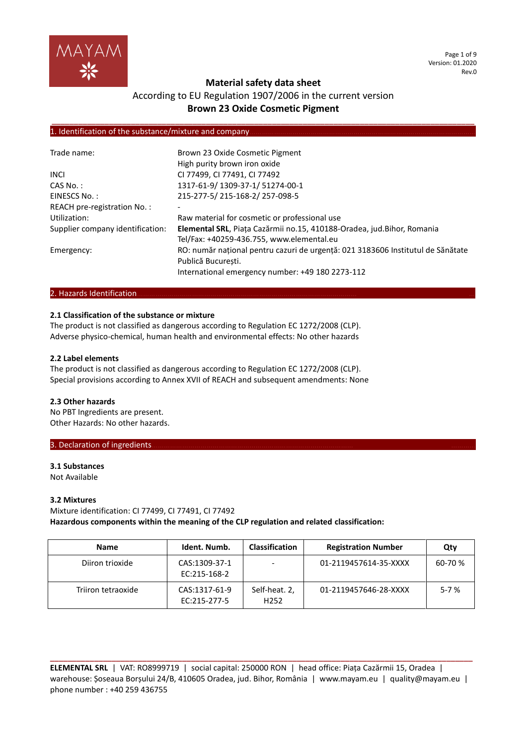

Page 1 of 9 Version: 01.2020 Rev.0

# **Material safety data sheet**

# According to EU Regulation 1907/2006 in the current version **Brown 23 Oxide Cosmetic Pigment**

**\_\_\_\_\_\_\_\_\_\_\_\_\_\_\_\_\_\_\_\_\_\_\_\_\_\_\_\_\_\_\_\_\_\_\_\_\_\_\_\_\_\_\_\_\_\_\_\_\_\_\_\_\_\_\_\_\_\_\_\_\_\_\_\_\_\_\_\_\_\_\_\_\_\_\_\_\_\_\_\_\_\_\_\_\_\_\_\_\_\_\_\_\_\_\_\_**

# 1. Identification of the substance/mixture and company

| Trade name:                      | Brown 23 Oxide Cosmetic Pigment                                                 |
|----------------------------------|---------------------------------------------------------------------------------|
|                                  | High purity brown iron oxide                                                    |
| <b>INCI</b>                      | CI 77499, CI 77491, CI 77492                                                    |
| CAS No.:                         | 1317-61-9/1309-37-1/51274-00-1                                                  |
| EINESCS No.:                     | 215-277-5/215-168-2/257-098-5                                                   |
| REACH pre-registration No.:      |                                                                                 |
| Utilization:                     | Raw material for cosmetic or professional use                                   |
| Supplier company identification: | Elemental SRL, Piața Cazărmii no.15, 410188-Oradea, jud.Bihor, Romania          |
|                                  | Tel/Fax: +40259-436.755, www.elemental.eu                                       |
| Emergency:                       | RO: număr național pentru cazuri de urgență: 021 3183606 Institutul de Sănătate |
|                                  | Publică Bucuresti.                                                              |
|                                  | International emergency number: +49 180 2273-112                                |

## 2. Hazards Identification.

## **2.1 Classification of the substance or mixture**

The product is not classified as dangerous according to Regulation EC 1272/2008 (CLP). Adverse physico-chemical, human health and environmental effects: No other hazards

## **2.2 Label elements**

The product is not classified as dangerous according to Regulation EC 1272/2008 (CLP). Special provisions according to Annex XVII of REACH and subsequent amendments: None

#### **2.3 Other hazards**

No PBT Ingredients are present. Other Hazards: No other hazards.

#### 3. Declaration of ingredients.

## **3.1 Substances** Not Available

#### **3.2 Mixtures**

Mixture identification: CI 77499, CI 77491, CI 77492 **Hazardous components within the meaning of the CLP regulation and related classification:**

| <b>Name</b>        | Ident. Numb.                  | <b>Classification</b>             | <b>Registration Number</b> | Qty      |
|--------------------|-------------------------------|-----------------------------------|----------------------------|----------|
| Diiron trioxide    | CAS:1309-37-1<br>EC:215-168-2 | -                                 | 01-2119457614-35-XXXX      | 60-70 %  |
| Triiron tetraoxide | CAS:1317-61-9<br>EC:215-277-5 | Self-heat. 2,<br>H <sub>252</sub> | 01-2119457646-28-XXXX      | $5 - 7%$ |

**ELEMENTAL SRL** | VAT: RO8999719 | social capital: 250000 RON | head office: Piața Cazărmii 15, Oradea | warehouse: Șoseaua Borșului 24/B, 410605 Oradea, jud. Bihor, România | www.mayam.eu | quality@mayam.eu | phone number : +40 259 436755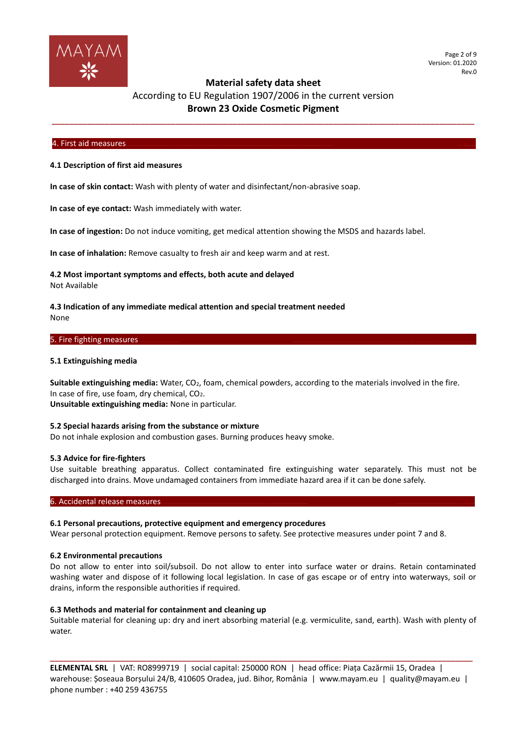

# According to EU Regulation 1907/2006 in the current version **Brown 23 Oxide Cosmetic Pigment**

**\_\_\_\_\_\_\_\_\_\_\_\_\_\_\_\_\_\_\_\_\_\_\_\_\_\_\_\_\_\_\_\_\_\_\_\_\_\_\_\_\_\_\_\_\_\_\_\_\_\_\_\_\_\_\_\_\_\_\_\_\_\_\_\_\_\_\_\_\_\_\_\_\_\_\_\_\_\_\_\_\_\_\_\_\_\_\_\_\_\_\_\_\_\_\_\_**

#### 4. First aid measures………………………………………………………………………………………… ………

#### **4.1 Description of first aid measures**

**In case of skin contact:** Wash with plenty of water and disinfectant/non-abrasive soap.

**In case of eye contact:** Wash immediately with water.

**In case of ingestion:** Do not induce vomiting, get medical attention showing the MSDS and hazards label.

**In case of inhalation:** Remove casualty to fresh air and keep warm and at rest.

## **4.2 Most important symptoms and effects, both acute and delayed** Not Available

## **4.3 Indication of any immediate medical attention and special treatment needed** None

## 5. Fire fighting measures

#### **5.1 Extinguishing media**

**Suitable extinguishing media:** Water, CO2, foam, chemical powders, according to the materials involved in the fire. In case of fire, use foam, dry chemical, CO2. **Unsuitable extinguishing media:** None in particular.

## **5.2 Special hazards arising from the substance or mixture**

Do not inhale explosion and combustion gases. Burning produces heavy smoke.

#### **5.3 Advice for fire-fighters**

Use suitable breathing apparatus. Collect contaminated fire extinguishing water separately. This must not be discharged into drains. Move undamaged containers from immediate hazard area if it can be done safely.

#### 6. Accidental release measures

#### **6.1 Personal precautions, protective equipment and emergency procedures**

Wear personal protection equipment. Remove persons to safety. See protective measures under point 7 and 8.

#### **6.2 Environmental precautions**

Do not allow to enter into soil/subsoil. Do not allow to enter into surface water or drains. Retain contaminated washing water and dispose of it following local legislation. In case of gas escape or of entry into waterways, soil or drains, inform the responsible authorities if required.

#### **6.3 Methods and material for containment and cleaning up**

Suitable material for cleaning up: dry and inert absorbing material (e.g. vermiculite, sand, earth). Wash with plenty of water.

**ELEMENTAL SRL** | VAT: RO8999719 | social capital: 250000 RON | head office: Piața Cazărmii 15, Oradea | warehouse: Șoseaua Borșului 24/B, 410605 Oradea, jud. Bihor, România | www.mayam.eu | quality@mayam.eu | phone number : +40 259 436755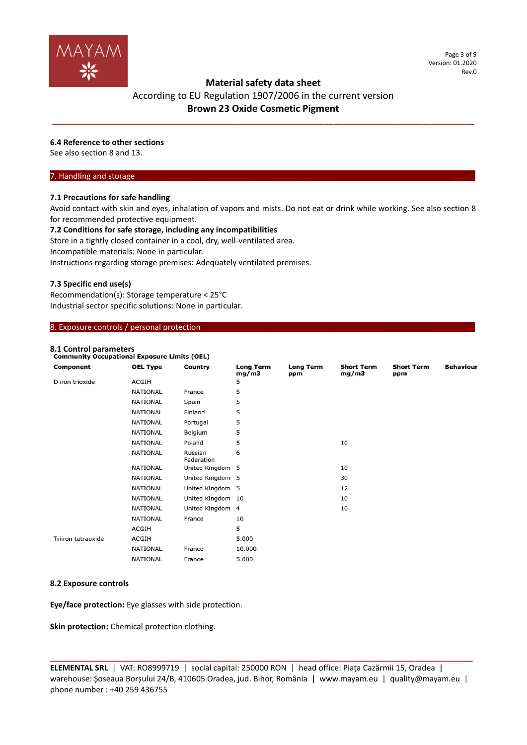

# According to EU Regulation 1907/2006 in the current version **Brown 23 Oxide Cosmetic Pigment**

**\_\_\_\_\_\_\_\_\_\_\_\_\_\_\_\_\_\_\_\_\_\_\_\_\_\_\_\_\_\_\_\_\_\_\_\_\_\_\_\_\_\_\_\_\_\_\_\_\_\_\_\_\_\_\_\_\_\_\_\_\_\_\_\_\_\_\_\_\_\_\_\_\_\_\_\_\_\_\_\_\_\_\_\_\_\_\_\_\_\_\_\_\_\_\_\_**

# **6.4 Reference to other sections**

See also section 8 and 13.

# 7. Handling and storage.

## **7.1 Precautions for safe handling**

Avoid contact with skin and eyes, inhalation of vapors and mists. Do not eat or drink while working. See also section 8 for recommended protective equipment.

#### **7.2 Conditions for safe storage, including any incompatibilities**

Store in a tightly closed container in a cool, dry, well-ventilated area.

Incompatible materials: None in particular.

Instructions regarding storage premises: Adequately ventilated premises.

## **7.3 Specific end use(s)**

Recommendation(s): Storage temperature < 25°C Industrial sector specific solutions: None in particular.

#### 8. Exposure controls / personal protection.

# **8.1 Control parameters**

| <b>Community Occupational Exposure Limits (OEL)</b> |                 |                       |                    |                  |                            |                          |                  |
|-----------------------------------------------------|-----------------|-----------------------|--------------------|------------------|----------------------------|--------------------------|------------------|
| Component                                           | <b>OEL Type</b> | Country               | Long Term<br>mg/m3 | Long Term<br>ppm | <b>Short Term</b><br>mg/m3 | <b>Short Term</b><br>ppm | <b>Behaviour</b> |
| Diiron trioxide                                     | <b>ACGIH</b>    |                       | 5                  |                  |                            |                          |                  |
|                                                     | <b>NATIONAL</b> | France                | 5                  |                  |                            |                          |                  |
|                                                     | NATIONAL        | Spain                 | 5                  |                  |                            |                          |                  |
|                                                     | <b>NATIONAL</b> | Finland               | 5                  |                  |                            |                          |                  |
|                                                     | NATIONAL        | Portugal              | 5                  |                  |                            |                          |                  |
|                                                     | <b>NATIONAL</b> | Belgium               | 5                  |                  |                            |                          |                  |
|                                                     | <b>NATIONAL</b> | Poland                | 5                  |                  | 10                         |                          |                  |
|                                                     | NATIONAL        | Russian<br>Federation | 6                  |                  |                            |                          |                  |
|                                                     | <b>NATIONAL</b> | United Kingdom 5      |                    |                  | 10                         |                          |                  |
|                                                     | NATIONAL        | United Kingdom 5      |                    |                  | 30                         |                          |                  |
|                                                     | <b>NATIONAL</b> | United Kingdom 5      |                    |                  | 12                         |                          |                  |
|                                                     | <b>NATIONAL</b> | United Kingdom 10     |                    |                  | 10                         |                          |                  |
|                                                     | NATIONAL        | United Kingdom 4      |                    |                  | 10                         |                          |                  |
|                                                     | NATIONAL        | France                | 10                 |                  |                            |                          |                  |
|                                                     | ACGIH           |                       | 5                  |                  |                            |                          |                  |
| Triiron tetraoxide                                  | ACGIH           |                       | 5.000              |                  |                            |                          |                  |
|                                                     | <b>NATIONAL</b> | France                | 10.000             |                  |                            |                          |                  |
|                                                     | NATIONAL        | France                | 5.000              |                  |                            |                          |                  |

#### **8.2 Exposure controls**

**Eye/face protection:** Eye glasses with side protection.

**Skin protection:** Chemical protection clothing.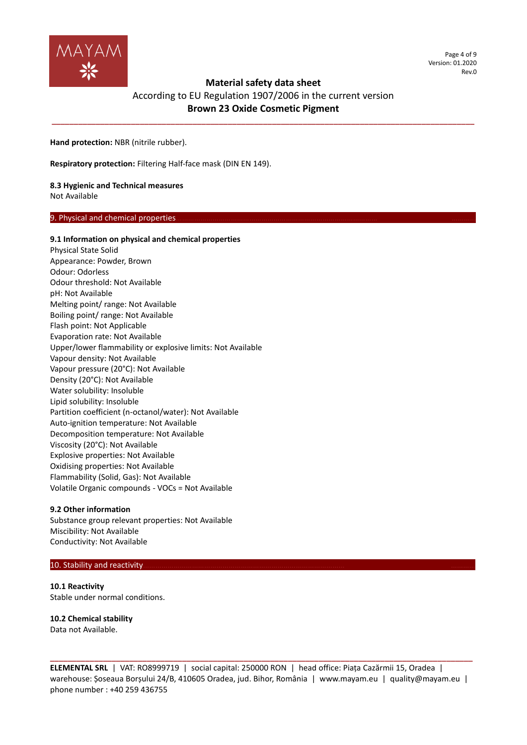

Page 4 of 9 Version: 01.2020 Rev.0

# **Material safety data sheet**

# According to EU Regulation 1907/2006 in the current version **Brown 23 Oxide Cosmetic Pigment**

**\_\_\_\_\_\_\_\_\_\_\_\_\_\_\_\_\_\_\_\_\_\_\_\_\_\_\_\_\_\_\_\_\_\_\_\_\_\_\_\_\_\_\_\_\_\_\_\_\_\_\_\_\_\_\_\_\_\_\_\_\_\_\_\_\_\_\_\_\_\_\_\_\_\_\_\_\_\_\_\_\_\_\_\_\_\_\_\_\_\_\_\_\_\_\_\_**

**Hand protection:** NBR (nitrile rubber).

**Respiratory protection:** Filtering Half-face mask (DIN EN 149).

# **8.3 Hygienic and Technical measures**

Not Available

# 9. Physical and chemical properties

## **9.1 Information on physical and chemical properties**

Physical State Solid Appearance: Powder, Brown Odour: Odorless Odour threshold: Not Available pH: Not Available Melting point/ range: Not Available Boiling point/ range: Not Available Flash point: Not Applicable Evaporation rate: Not Available Upper/lower flammability or explosive limits: Not Available Vapour density: Not Available Vapour pressure (20°C): Not Available Density (20°C): Not Available Water solubility: Insoluble Lipid solubility: Insoluble Partition coefficient (n-octanol/water): Not Available Auto-ignition temperature: Not Available Decomposition temperature: Not Available Viscosity (20°C): Not Available Explosive properties: Not Available Oxidising properties: Not Available Flammability (Solid, Gas): Not Available Volatile Organic compounds - VOCs = Not Available

#### **9.2 Other information**

Substance group relevant properties: Not Available Miscibility: Not Available Conductivity: Not Available

# 10. Stability and reactivity

**10.1 Reactivity** Stable under normal conditions.

# **10.2 Chemical stability**

Data not Available.

**ELEMENTAL SRL** | VAT: RO8999719 | social capital: 250000 RON | head office: Piața Cazărmii 15, Oradea | warehouse: Șoseaua Borșului 24/B, 410605 Oradea, jud. Bihor, România | www.mayam.eu | quality@mayam.eu | phone number : +40 259 436755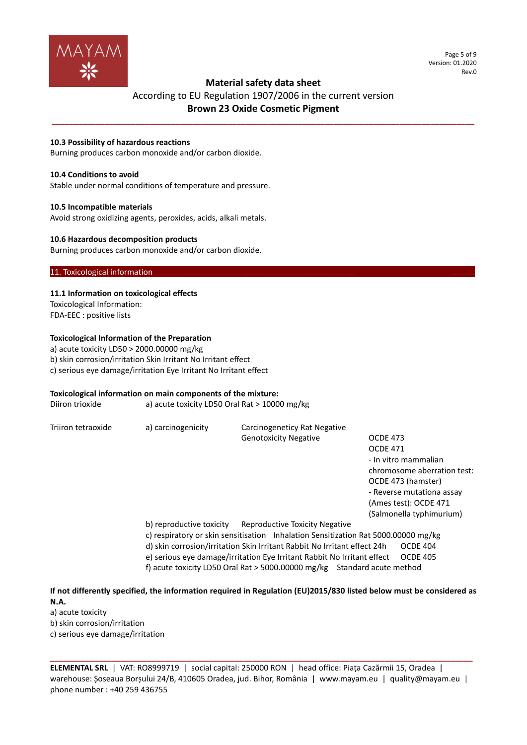

Page 5 of 9 Version: 01.2020 Rev.0

# **Material safety data sheet**

# According to EU Regulation 1907/2006 in the current version **Brown 23 Oxide Cosmetic Pigment**

**\_\_\_\_\_\_\_\_\_\_\_\_\_\_\_\_\_\_\_\_\_\_\_\_\_\_\_\_\_\_\_\_\_\_\_\_\_\_\_\_\_\_\_\_\_\_\_\_\_\_\_\_\_\_\_\_\_\_\_\_\_\_\_\_\_\_\_\_\_\_\_\_\_\_\_\_\_\_\_\_\_\_\_\_\_\_\_\_\_\_\_\_\_\_\_\_**

# **10.3 Possibility of hazardous reactions**

Burning produces carbon monoxide and/or carbon dioxide.

#### **10.4 Conditions to avoid**

Stable under normal conditions of temperature and pressure.

#### **10.5 Incompatible materials**

Avoid strong oxidizing agents, peroxides, acids, alkali metals.

#### **10.6 Hazardous decomposition products**

Burning produces carbon monoxide and/or carbon dioxide.

# 11. Toxicological information

## **11.1 Information on toxicological effects**

Toxicological Information: FDA-EEC : positive lists

## **Toxicological Information of the Preparation**

a) acute toxicity LD50 > 2000.00000 mg/kg b) skin corrosion/irritation Skin Irritant No Irritant effect c) serious eye damage/irritation Eye Irritant No Irritant effect

#### **Toxicological information on main components of the mixture:**

| Diiron trioxide    | a) acute toxicity LD50 Oral Rat $>$ 10000 mg/kg |                                                                                    |                             |
|--------------------|-------------------------------------------------|------------------------------------------------------------------------------------|-----------------------------|
| Triiron tetraoxide | a) carcinogenicity                              | Carcinogeneticy Rat Negative                                                       |                             |
|                    |                                                 | <b>Genotoxicity Negative</b>                                                       | <b>OCDE 473</b>             |
|                    |                                                 |                                                                                    | <b>OCDE 471</b>             |
|                    |                                                 |                                                                                    | - In vitro mammalian        |
|                    |                                                 |                                                                                    | chromosome aberration test: |
|                    |                                                 |                                                                                    | OCDE 473 (hamster)          |
|                    |                                                 |                                                                                    | - Reverse mutationa assay   |
|                    |                                                 |                                                                                    | (Ames test): OCDE 471       |
|                    |                                                 |                                                                                    | (Salmonella typhimurium)    |
|                    | b) reproductive toxicity                        | <b>Reproductive Toxicity Negative</b>                                              |                             |
|                    |                                                 | c) respiratory or skin sensitisation Inhalation Sensitization Rat 5000.00000 mg/kg |                             |
|                    |                                                 | d) skin corrosion/irritation Skin Irritant Rabbit No Irritant effect 24h           | OCDE 404                    |
|                    |                                                 | e) serious eye damage/irritation Eye Irritant Rabbit No Irritant effect            | <b>OCDE 405</b>             |
|                    |                                                 | f) acute toxicity LD50 Oral Rat > 5000.00000 mg/kg Standard acute method           |                             |

# **If not differently specified, the information required in Regulation (EU)2015/830 listed below must be considered as N.A.**

a) acute toxicity

b) skin corrosion/irritation

c) serious eye damage/irritation

**ELEMENTAL SRL** | VAT: RO8999719 | social capital: 250000 RON | head office: Piața Cazărmii 15, Oradea | warehouse: Șoseaua Borșului 24/B, 410605 Oradea, jud. Bihor, România | www.mayam.eu | quality@mayam.eu | phone number : +40 259 436755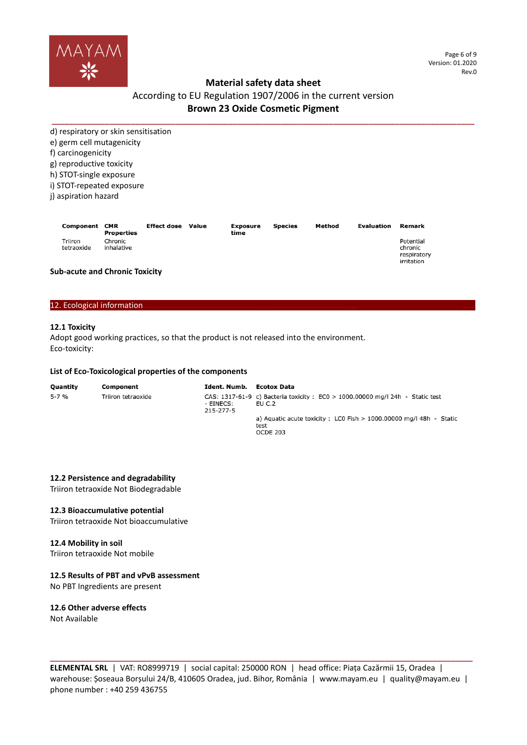

# According to EU Regulation 1907/2006 in the current version **Brown 23 Oxide Cosmetic Pigment**

**\_\_\_\_\_\_\_\_\_\_\_\_\_\_\_\_\_\_\_\_\_\_\_\_\_\_\_\_\_\_\_\_\_\_\_\_\_\_\_\_\_\_\_\_\_\_\_\_\_\_\_\_\_\_\_\_\_\_\_\_\_\_\_\_\_\_\_\_\_\_\_\_\_\_\_\_\_\_\_\_\_\_\_\_\_\_\_\_\_\_\_\_\_\_\_\_** d) respiratory or skin sensitisation e) germ cell mutagenicity f) carcinogenicity g) reproductive toxicity

h) STOT-single exposure

i) STOT-repeated exposure

j) aspiration hazard

| Component CMR         | Properties            | <b>Effect dose</b> | Value | Exposure<br>time | <b>Species</b> | Method | Evaluation | Remark                                            |
|-----------------------|-----------------------|--------------------|-------|------------------|----------------|--------|------------|---------------------------------------------------|
| Triiron<br>tetraoxide | Chronic<br>inhalative |                    |       |                  |                |        |            | Potential<br>chronic<br>respiratory<br>irritation |

## **Sub-acute and Chronic Toxicity**

#### 12. Ecological information...

# **12.1 Toxicity**

Adopt good working practices, so that the product is not released into the environment. Eco-toxicity:

#### **List of Eco-Toxicological properties of the components**

| Ouantity | Component          | Ident. Numb.           | Ecotox Data                                                                               |
|----------|--------------------|------------------------|-------------------------------------------------------------------------------------------|
| 5-7 %    | Triiron tetraoxide | - EINECS:<br>215-277-5 | CAS: $1317-61-9$ c) Bacteria toxicity : EC0 > 1000.00000 mg/l 24h - Static test<br>EU C.2 |
|          |                    |                        | a) Aquatic acute toxicity : LC0 Fish $> 1000.00000$ mg/l 48h - Static<br>test<br>OCDE 203 |

# **12.2 Persistence and degradability**

Triiron tetraoxide Not Biodegradable

#### **12.3 Bioaccumulative potential**

Triiron tetraoxide Not bioaccumulative

## **12.4 Mobility in soil**

Triiron tetraoxide Not mobile

# **12.5 Results of PBT and vPvB assessment**

No PBT Ingredients are present

# **12.6 Other adverse effects**

Not Available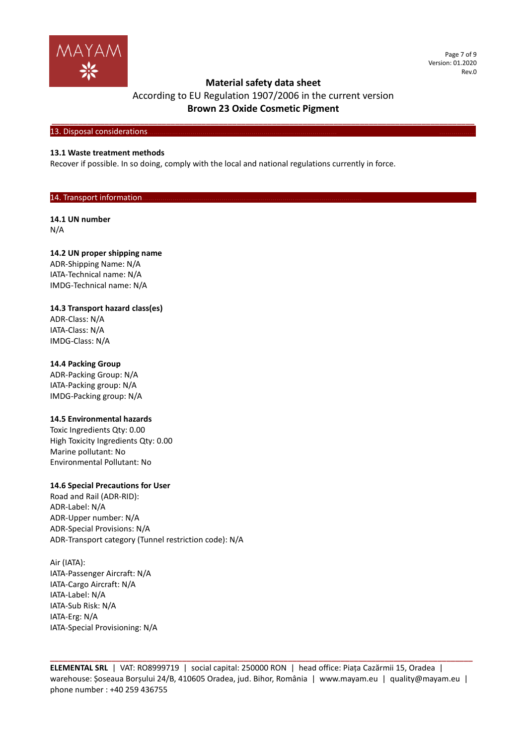

Page 7 of 9 Version: 01.2020 Rev.0

# **Material safety data sheet**

# According to EU Regulation 1907/2006 in the current version **Brown 23 Oxide Cosmetic Pigment**

**\_\_\_\_\_\_\_\_\_\_\_\_\_\_\_\_\_\_\_\_\_\_\_\_\_\_\_\_\_\_\_\_\_\_\_\_\_\_\_\_\_\_\_\_\_\_\_\_\_\_\_\_\_\_\_\_\_\_\_\_\_\_\_\_\_\_\_\_\_\_\_\_\_\_\_\_\_\_\_\_\_\_\_\_\_\_\_\_\_\_\_\_\_\_\_\_**

# 13. Disposal considerations

## **13.1 Waste treatment methods**

Recover if possible. In so doing, comply with the local and national regulations currently in force.

# 14. Transport information

# **14.1 UN number**

N/A

## **14.2 UN proper shipping name**

ADR-Shipping Name: N/A IATA-Technical name: N/A IMDG-Technical name: N/A

## **14.3 Transport hazard class(es)**

ADR-Class: N/A IATA-Class: N/A IMDG-Class: N/A

# **14.4 Packing Group**

ADR-Packing Group: N/A IATA-Packing group: N/A IMDG-Packing group: N/A

#### **14.5 Environmental hazards**

Toxic Ingredients Qty: 0.00 High Toxicity Ingredients Qty: 0.00 Marine pollutant: No Environmental Pollutant: No

#### **14.6 Special Precautions for User**

Road and Rail (ADR-RID): ADR-Label: N/A ADR-Upper number: N/A ADR-Special Provisions: N/A ADR-Transport category (Tunnel restriction code): N/A

Air (IATA): IATA-Passenger Aircraft: N/A IATA-Cargo Aircraft: N/A IATA-Label: N/A IATA-Sub Risk: N/A IATA-Erg: N/A IATA-Special Provisioning: N/A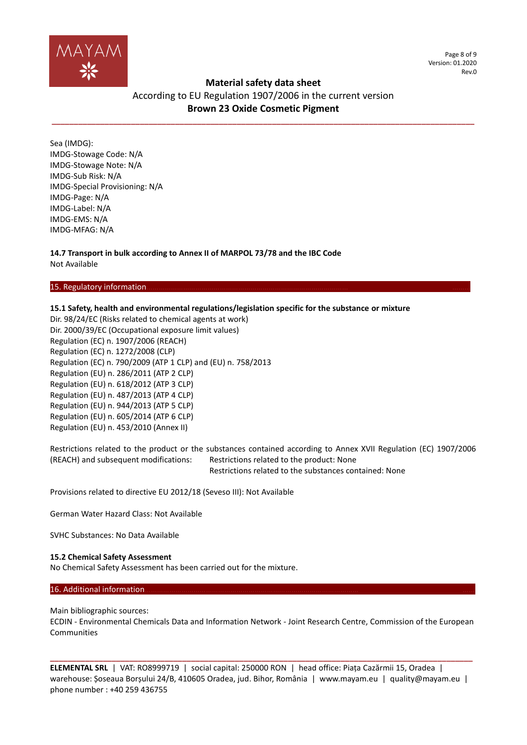

Page 8 of 9 Version: 01.2020 Rev.0

# **Material safety data sheet**

# According to EU Regulation 1907/2006 in the current version **Brown 23 Oxide Cosmetic Pigment**

**\_\_\_\_\_\_\_\_\_\_\_\_\_\_\_\_\_\_\_\_\_\_\_\_\_\_\_\_\_\_\_\_\_\_\_\_\_\_\_\_\_\_\_\_\_\_\_\_\_\_\_\_\_\_\_\_\_\_\_\_\_\_\_\_\_\_\_\_\_\_\_\_\_\_\_\_\_\_\_\_\_\_\_\_\_\_\_\_\_\_\_\_\_\_\_\_**

Sea (IMDG): IMDG-Stowage Code: N/A IMDG-Stowage Note: N/A IMDG-Sub Risk: N/A IMDG-Special Provisioning: N/A IMDG-Page: N/A IMDG-Label: N/A IMDG-EMS: N/A IMDG-MFAG: N/A

**14.7 Transport in bulk according to Annex II of MARPOL 73/78 and the IBC Code** Not Available

## 15. Regulatory information

# **15.1 Safety, health and environmental regulations/legislation specific for the substance or mixture**

Dir. 98/24/EC (Risks related to chemical agents at work) Dir. 2000/39/EC (Occupational exposure limit values) Regulation (EC) n. 1907/2006 (REACH) Regulation (EC) n. 1272/2008 (CLP) Regulation (EC) n. 790/2009 (ATP 1 CLP) and (EU) n. 758/2013 Regulation (EU) n. 286/2011 (ATP 2 CLP) Regulation (EU) n. 618/2012 (ATP 3 CLP) Regulation (EU) n. 487/2013 (ATP 4 CLP) Regulation (EU) n. 944/2013 (ATP 5 CLP) Regulation (EU) n. 605/2014 (ATP 6 CLP) Regulation (EU) n. 453/2010 (Annex II)

Restrictions related to the product or the substances contained according to Annex XVII Regulation (EC) 1907/2006 (REACH) and subsequent modifications: Restrictions related to the product: None Restrictions related to the substances contained: None

Provisions related to directive EU 2012/18 (Seveso III): Not Available

German Water Hazard Class: Not Available

SVHC Substances: No Data Available

#### **15.2 Chemical Safety Assessment**

No Chemical Safety Assessment has been carried out for the mixture.

# 16. Additional information

Main bibliographic sources:

ECDIN - Environmental Chemicals Data and Information Network - Joint Research Centre, Commission of the European Communities

**ELEMENTAL SRL** | VAT: RO8999719 | social capital: 250000 RON | head office: Piața Cazărmii 15, Oradea | warehouse: Șoseaua Borșului 24/B, 410605 Oradea, jud. Bihor, România | www.mayam.eu | quality@mayam.eu | phone number : +40 259 436755